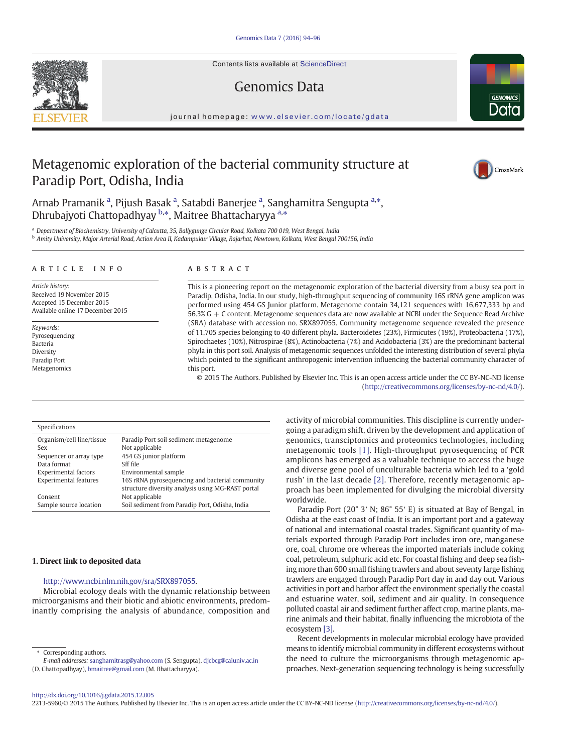Contents lists available at ScienceDirect

# Genomics Data

journal homepage: <www.elsevier.com/locate/gdata>

## Metagenomic exploration of the bacterial community structure at Paradip Port, Odisha, India

Arnab Pramanik <sup>a</sup>, Pijush Basak <sup>a</sup>, Satabdi Banerjee <sup>a</sup>, Sanghamitra Sengupta <sup>a,\*</sup>, Dhrubajyoti Chattopadhyay <sup>b,\*</sup>, Maitree Bhattacharyya <sup>a,\*</sup>

a Department of Biochemistry, University of Calcutta, 35, Ballygunge Circular Road, Kolkata 700 019, West Bengal, India **b Amity University, Major Arterial Road, Action Area II, Kadampukur Village, Rajarhat, Newtown, Kolkata, West Bengal 700156, India** 

#### article info abstract

Article history: Received 19 November 2015 Accepted 15 December 2015 Available online 17 December 2015

Keywords: Pyrosequencing Bacteria Diversity Paradip Port Metagenomics

This is a pioneering report on the metagenomic exploration of the bacterial diversity from a busy sea port in Paradip, Odisha, India. In our study, high-throughput sequencing of community 16S rRNA gene amplicon was performed using 454 GS Junior platform. Metagenome contain 34,121 sequences with 16,677,333 bp and 56.3% G + C content. Metagenome sequences data are now available at NCBI under the Sequence Read Archive (SRA) database with accession no. SRX897055. Community metagenome sequence revealed the presence of 11,705 species belonging to 40 different phyla. Bacteroidetes (23%), Firmicutes (19%), Proteobacteria (17%), Spirochaetes (10%), Nitrospirae (8%), Actinobacteria (7%) and Acidobacteria (3%) are the predominant bacterial phyla in this port soil. Analysis of metagenomic sequences unfolded the interesting distribution of several phyla which pointed to the significant anthropogenic intervention influencing the bacterial community character of this port.

© 2015 The Authors. Published by Elsevier Inc. This is an open access article under the CC BY-NC-ND license (http://creativecommons.org/licenses/by-nc-nd/4.0/).

#### Specifications

| Paradip Port soil sediment metagenome             |
|---------------------------------------------------|
| Not applicable                                    |
| 454 GS junior platform                            |
| Sff file                                          |
| Environmental sample                              |
| 16S rRNA pyrosequencing and bacterial community   |
| structure diversity analysis using MG-RAST portal |
| Not applicable                                    |
| Soil sediment from Paradip Port, Odisha, India    |
|                                                   |

#### 1. Direct link to deposited data

#### http://www.ncbi.nlm.nih.gov/sra/SRX897055.

Microbial ecology deals with the dynamic relationship between microorganisms and their biotic and abiotic environments, predominantly comprising the analysis of abundance, composition and

⁎ Corresponding authors.

E-mail addresses: sanghamitrasg@yahoo.com (S. Sengupta), djcbcg@caluniv.ac.in

(D. Chattopadhyay), [bmaitree@gmail.com](mailto:bmaitree@gmail.com) (M. Bhattacharyya).

activity of microbial communities. This discipline is currently undergoing a paradigm shift, driven by the development and application of genomics, transciptomics and proteomics technologies, including metagenomic tools [\[1\].](#page-2-0) High-throughput pyrosequencing of PCR amplicons has emerged as a valuable technique to access the huge and diverse gene pool of unculturable bacteria which led to a 'gold rush' in the last decade [\[2\]](#page-2-0). Therefore, recently metagenomic approach has been implemented for divulging the microbial diversity worldwide.

Paradip Port (20° 3′ N; 86° 55′ E) is situated at Bay of Bengal, in Odisha at the east coast of India. It is an important port and a gateway of national and international coastal trades. Significant quantity of materials exported through Paradip Port includes iron ore, manganese ore, coal, chrome ore whereas the imported materials include coking coal, petroleum, sulphuric acid etc. For coastal fishing and deep sea fishing more than 600 small fishing trawlers and about seventy large fishing trawlers are engaged through Paradip Port day in and day out. Various activities in port and harbor affect the environment specially the coastal and estuarine water, soil, sediment and air quality. In consequence polluted coastal air and sediment further affect crop, marine plants, marine animals and their habitat, finally influencing the microbiota of the ecosystem [\[3\].](#page-2-0)

Recent developments in molecular microbial ecology have provided means to identify microbial community in different ecosystems without the need to culture the microorganisms through metagenomic approaches. Next-generation sequencing technology is being successfully

2213-5960/© 2015 The Authors. Published by Elsevier Inc. This is an open access article under the CC BY-NC-ND license (http://creativecommons.org/licenses/by-nc-nd/4.0/).





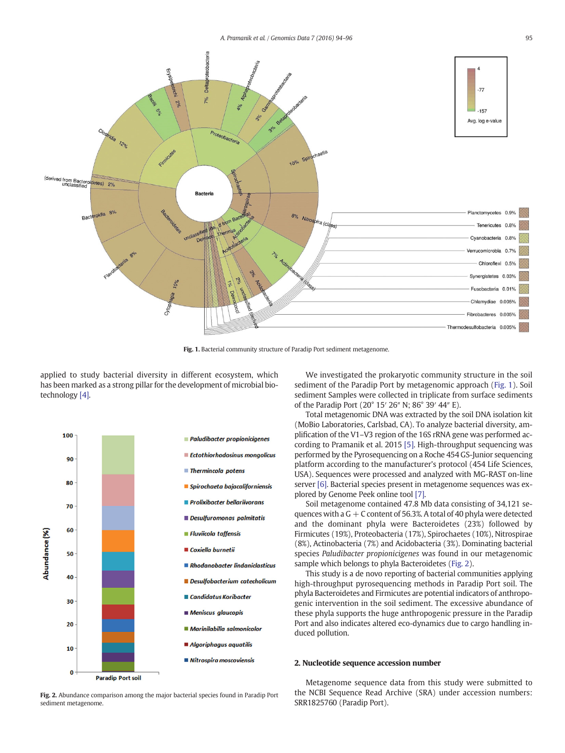

Fig. 1. Bacterial community structure of Paradip Port sediment metagenome.

applied to study bacterial diversity in different ecosystem, which has been marked as a strong pillar for the development of microbial biotechnology [\[4\].](#page-2-0)



We investigated the prokaryotic community structure in the soil sediment of the Paradip Port by metagenomic approach (Fig. 1). Soil sediment Samples were collected in triplicate from surface sediments of the Paradip Port (20° 15′ 26″ N; 86° 39′ 44″ E).

Total metagenomic DNA was extracted by the soil DNA isolation kit (MoBio Laboratories, Carlsbad, CA). To analyze bacterial diversity, amplification of the V1–V3 region of the 16S rRNA gene was performed according to Pramanik et al. 2015 [\[5\]](#page-2-0). High-throughput sequencing was performed by the Pyrosequencing on a Roche 454 GS-Junior sequencing platform according to the manufacturer's protocol (454 Life Sciences, USA). Sequences were processed and analyzed with MG-RAST on-line server [\[6\]](#page-2-0). Bacterial species present in metagenome sequences was explored by Genome Peek online tool [\[7\]](#page-2-0).

Soil metagenome contained 47.8 Mb data consisting of 34,121 sequences with a  $G + C$  content of 56.3%. A total of 40 phyla were detected and the dominant phyla were Bacteroidetes (23%) followed by Firmicutes (19%), Proteobacteria (17%), Spirochaetes (10%), Nitrospirae (8%), Actinobacteria (7%) and Acidobacteria (3%). Dominating bacterial species Paludibacter propionicigenes was found in our metagenomic sample which belongs to phyla Bacteroidetes (Fig. 2).

This study is a de novo reporting of bacterial communities applying high-throughput pyrosequencing methods in Paradip Port soil. The phyla Bacteroidetes and Firmicutes are potential indicators of anthropogenic intervention in the soil sediment. The excessive abundance of these phyla supports the huge anthropogenic pressure in the Paradip Port and also indicates altered eco-dynamics due to cargo handling induced pollution.

### 2. Nucleotide sequence accession number

Fig. 2. Abundance comparison among the major bacterial species found in Paradip Port sediment metagenome.

Metagenome sequence data from this study were submitted to the NCBI Sequence Read Archive (SRA) under accession numbers: SRR1825760 (Paradip Port).